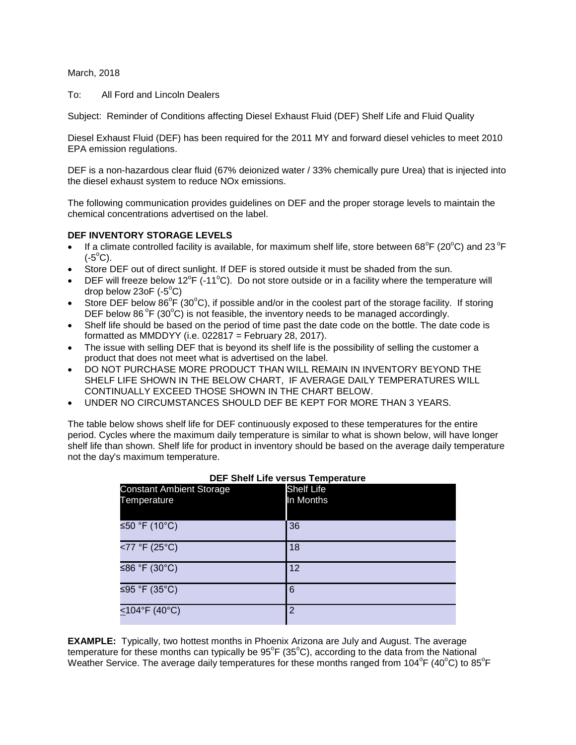March, 2018

To: All Ford and Lincoln Dealers

Subject: Reminder of Conditions affecting Diesel Exhaust Fluid (DEF) Shelf Life and Fluid Quality

Diesel Exhaust Fluid (DEF) has been required for the 2011 MY and forward diesel vehicles to meet 2010 EPA emission regulations.

DEF is a non-hazardous clear fluid (67% deionized water / 33% chemically pure Urea) that is injected into the diesel exhaust system to reduce NOx emissions.

The following communication provides guidelines on DEF and the proper storage levels to maintain the chemical concentrations advertised on the label.

### **DEF INVENTORY STORAGE LEVELS**

- If a climate controlled facility is available, for maximum shelf life, store between 68°F (20°C) and 23°F  $(-5^{\circ}C)$ .
- Store DEF out of direct sunlight. If DEF is stored outside it must be shaded from the sun.
- DEF will freeze below 12<sup>o</sup>F (-11<sup>o</sup>C). Do not store outside or in a facility where the temperature will drop below  $23$ oF (- $5^{\circ}$ C)
- Store DEF below 86 $^{\circ}$ F (30 $^{\circ}$ C), if possible and/or in the coolest part of the storage facility. If storing DEF below 86 $\degree$ F (30 $\degree$ C) is not feasible, the inventory needs to be managed accordingly.
- Shelf life should be based on the period of time past the date code on the bottle. The date code is formatted as MMDDYY (i.e.  $022817 =$  February 28, 2017).
- The issue with selling DEF that is beyond its shelf life is the possibility of selling the customer a product that does not meet what is advertised on the label.
- DO NOT PURCHASE MORE PRODUCT THAN WILL REMAIN IN INVENTORY BEYOND THE SHELF LIFE SHOWN IN THE BELOW CHART, IF AVERAGE DAILY TEMPERATURES WILL CONTINUALLY EXCEED THOSE SHOWN IN THE CHART BELOW.
- UNDER NO CIRCUMSTANCES SHOULD DEF BE KEPT FOR MORE THAN 3 YEARS.

The table below shows shelf life for DEF continuously exposed to these temperatures for the entire period. Cycles where the maximum daily temperature is similar to what is shown below, will have longer shelf life than shown. Shelf life for product in inventory should be based on the average daily temperature not the day's maximum temperature.

| <b>Constant Ambient Storage</b><br>Temperature | <b>Shelf Life</b><br>In Months |
|------------------------------------------------|--------------------------------|
| ≤50 °F (10 $^{\circ}$ C)                       | 36                             |
| <77 °F (25°C)                                  | 18                             |
| ≤86 °F (30°C)                                  | 12                             |
| ≤95 °F (35°C)                                  | 6                              |
| $\leq$ 104°F (40°C)                            | 2                              |

#### **DEF Shelf Life versus Temperature**

**EXAMPLE:** Typically, two hottest months in Phoenix Arizona are July and August. The average temperature for these months can typically be  $95^{\circ}$ F (35 $^{\circ}$ C), according to the data from the National Weather Service. The average daily temperatures for these months ranged from 104°F (40°C) to 85°F